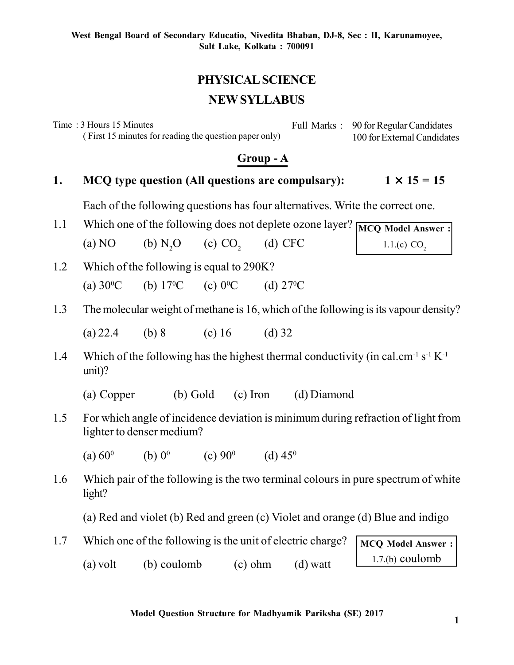# **PHYSICAL SCIENCE NEW SYLLABUS**

Time : 3 Hours 15 Minutes ( First 15 minutes for reading the question paper only) Full Marks : 90 for Regular Candidates 100 for External Candidates

### **Group - A**

#### **1.** MCQ type question (All questions are compulsary):  $1 \times 15 = 15$

Each of the following questions has four alternatives. Write the correct one.

- 1.1 Which one of the following does not deplete ozone layer? MCQ Model Answer : (a) NO (b) N<sub>2</sub>O (c) CO<sub>2</sub> (d) CFC
- 1.2 Which of the following is equal to 290K? (a)  $30^{\circ}$ C (b)  $17^{\circ}$ C (c)  $0^{\circ}$ C (d)  $27^{\circ}$ C
- 1.3 The molecular weight of methane is 16, which of the following is its vapour density?

(a) 22.4 (b) 8 (c) 16 (d) 32

- 1.4 Which of the following has the highest thermal conductivity (in cal.cm<sup>-1</sup> s<sup>-1</sup> K<sup>-1</sup>) unit)?
	- (a) Copper (b) Gold (c) Iron (d) Diamond
- 1.5 For which angle of incidence deviation is minimum during refraction of light from lighter to denser medium?
	- $(a) 60^{\circ}$ (b)  $0^0$ (c)  $90^{\circ}$ (d)  $45^{\circ}$
- 1.6 Which pair of the following is the two terminal colours in pure spectrum of white light?

(a) Red and violet (b) Red and green (c) Violet and orange (d) Blue and indigo

1.7 Which one of the following is the unit of electric charge? (a) volt (b) coulomb (c) ohm (d) watt

**MCQ Model Answer :** 1.7.(b) coulomb

**Model Question Structure for Madhyamik Pariksha (SE) 2017**

1.1.(c)  $CO<sub>2</sub>$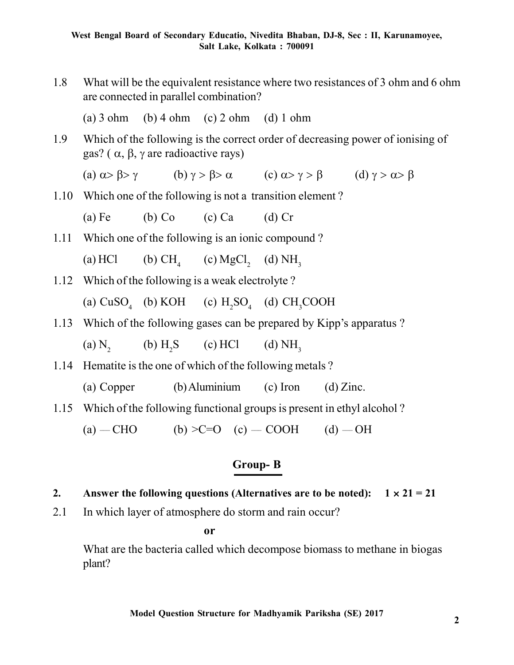1.8 What will be the equivalent resistance where two resistances of 3 ohm and 6 ohm are connected in parallel combination?

(a)  $3 \text{ ohm}$  (b)  $4 \text{ ohm}$  (c)  $2 \text{ ohm}$  (d)  $1 \text{ ohm}$ 

1.9 Which of the following is the correct order of decreasing power of ionising of  $gas?$  ( $\alpha$ ,  $\beta$ ,  $\gamma$  are radioactive rays)

(a)  $\alpha > \beta > \gamma$  (b)  $\gamma > \beta > \alpha$  (c)  $\alpha > \gamma > \beta$  (d)  $\gamma > \alpha > \beta$ 

1.10 Which one of the following is not a transition element ?

(a) Fe (b) Co (c) Ca (d) Cr

1.11 Which one of the following is an ionic compound ?

(a)  $HCl$  (b)  $CH<sub>1</sub>$ (c)  $MgCl<sub>2</sub>$  (d)  $NH<sub>3</sub>$ 

1.12 Which of the following is a weak electrolyte ?

(a)  $CuSO_4$  (b) KOH (c)  $H_2SO_4$  (d)  $CH_3COOH$ 

1.13 Which of the following gases can be prepared by Kipp's apparatus ?

 $(a)$  N<sub>2</sub> (b)  $H_2S$  (c) HCl (d)  $NH_3$ 

- 1.14 Hematite is the one of which of the following metals ?
	- (a) Copper (b) Aluminium (c) Iron (d) Zinc.
- 1.15 Which of the following functional groups is present in ethyl alcohol ?

(a)  $-$  CHO (b)  $>$ C=O (c)  $-$  COOH (d)  $-$  OH

## **Group- B**

- **2.** Answer the following questions (Alternatives are to be noted):  $1 \times 21 = 21$
- 2.1 In which layer of atmosphere do storm and rain occur?

**or**

What are the bacteria called which decompose biomass to methane in biogas plant?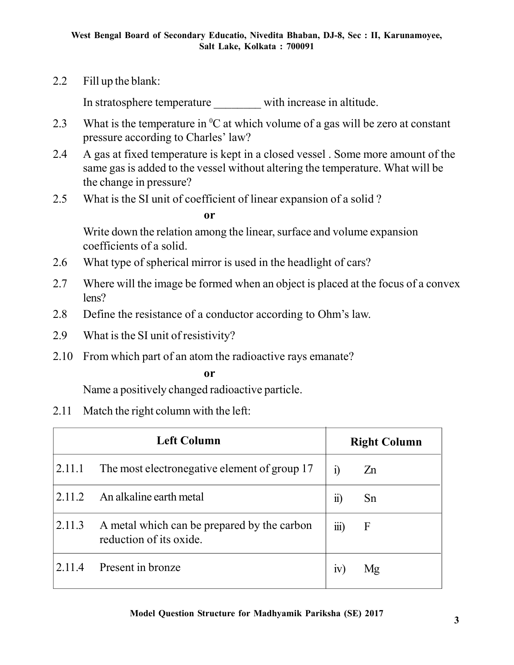2.2 Fill up the blank:

In stratosphere temperature with increase in altitude.

- 2.3 What is the temperature in  ${}^{0}C$  at which volume of a gas will be zero at constant pressure according to Charles' law?
- 2.4 A gas at fixed temperature is kept in a closed vessel . Some more amount of the same gas is added to the vessel without altering the temperature. What will be the change in pressure?
- 2.5 What is the SI unit of coefficient of linear expansion of a solid ?

#### **or**

Write down the relation among the linear, surface and volume expansion coefficients of a solid.

- 2.6 What type of spherical mirror is used in the headlight of cars?
- 2.7 Where will the image be formed when an object is placed at the focus of a convex lens?
- 2.8 Define the resistance of a conductor according to Ohm's law.
- 2.9 What is the SI unit of resistivity?
- 2.10 From which part of an atom the radioactive rays emanate?

**or**

Name a positively changed radioactive particle.

2.11 Match the right column with the left:

| <b>Left Column</b> |                                                                        | <b>Right Column</b>   |                |
|--------------------|------------------------------------------------------------------------|-----------------------|----------------|
| 2.11.1             | The most electronegative element of group 17                           | $\ddot{1}$            | Z <sub>n</sub> |
| 2.11.2             | An alkaline earth metal                                                | $\ddot{\textbf{i}}$   | Sn             |
| 2.11.3             | A metal which can be prepared by the carbon<br>reduction of its oxide. | $\dddot{\text{III}})$ | $\mathbf{F}$   |
| 2.11.4             | Present in bronze                                                      | 1V                    | Μg             |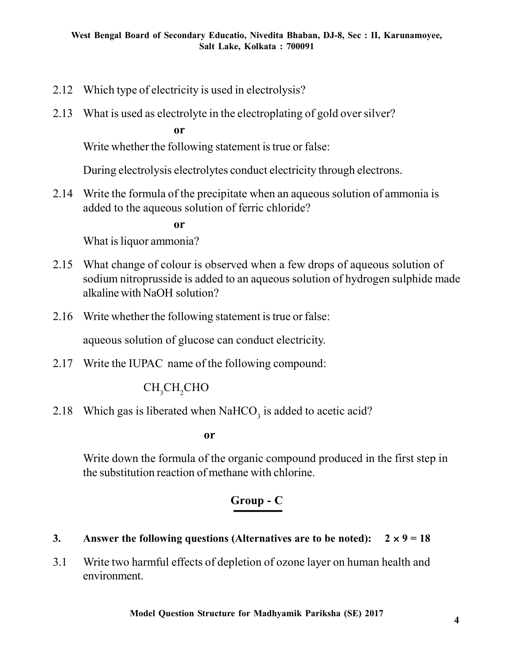- 2.12 Which type of electricity is used in electrolysis?
- 2.13 What is used as electrolyte in the electroplating of gold over silver?

**or**

Write whether the following statement is true or false:

During electrolysis electrolytes conduct electricity through electrons.

2.14 Write the formula of the precipitate when an aqueous solution of ammonia is added to the aqueous solution of ferric chloride?

**or**

What is liquor ammonia?

- 2.15 What change of colour is observed when a few drops of aqueous solution of sodium nitroprusside is added to an aqueous solution of hydrogen sulphide made alkaline with NaOH solution?
- 2.16 Write whether the following statement is true or false:

aqueous solution of glucose can conduct electricity.

2.17 Write the IUPAC name of the following compound:

# CH<sub>2</sub>CH<sub>2</sub>CHO

2.18 Which gas is liberated when  $\text{NaHCO}_3$  is added to acetic acid?

**or**

Write down the formula of the organic compound produced in the first step in the substitution reaction of methane with chlorine.

## **Group - C**

- **3.** Answer the following questions (Alternatives are to be noted):  $2 \times 9 = 18$
- 3.1 Write two harmful effects of depletion of ozone layer on human health and environment.

**Model Question Structure for Madhyamik Pariksha (SE) 2017**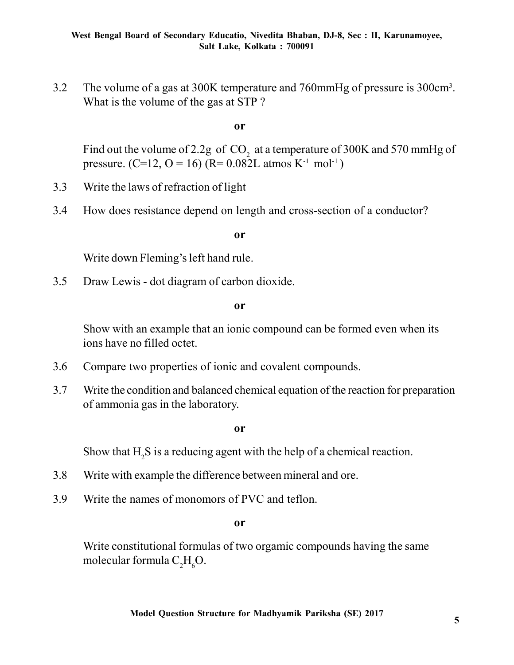3.2 The volume of a gas at 300K temperature and 760mmHg of pressure is 300cm<sup>3</sup> . What is the volume of the gas at STP ?

**or**

Find out the volume of 2.2g of  $\mathrm{CO}_2^2$  at a temperature of 300K and 570 mmHg of pressure. (C=12, O = 16) (R=  $0.082L$  atmos K<sup>-1</sup> mol<sup>-1</sup>)

- 3.3 Write the laws of refraction of light
- 3.4 How does resistance depend on length and cross-section of a conductor?

**or**

Write down Fleming's left hand rule.

3.5 Draw Lewis - dot diagram of carbon dioxide.

**or**

Show with an example that an ionic compound can be formed even when its ions have no filled octet.

- 3.6 Compare two properties of ionic and covalent compounds.
- 3.7 Write the condition and balanced chemical equation of the reaction for preparation of ammonia gas in the laboratory.

**or**

Show that  $H_2S$  is a reducing agent with the help of a chemical reaction.

- 3.8 Write with example the difference between mineral and ore.
- 3.9 Write the names of monomors of PVC and teflon.

**or**

Write constitutional formulas of two orgamic compounds having the same molecular formula  $C_2H_6O$ .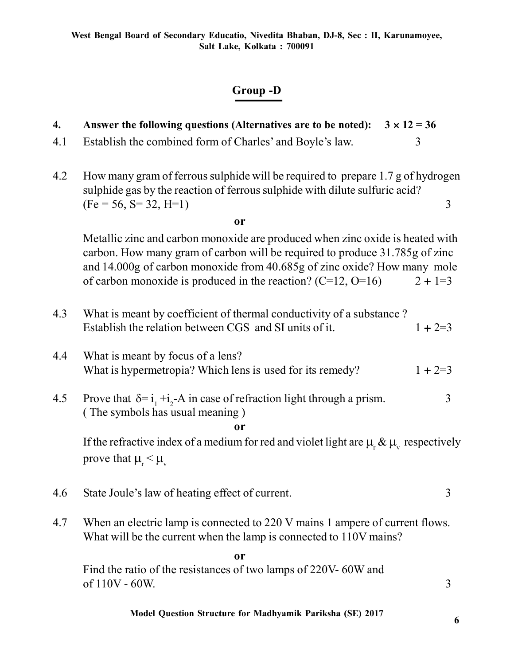# **Group -D**

| 4.            | $3 \times 12 = 36$<br>Answer the following questions (Alternatives are to be noted):                                                                                                                                                                                                                       |             |  |  |
|---------------|------------------------------------------------------------------------------------------------------------------------------------------------------------------------------------------------------------------------------------------------------------------------------------------------------------|-------------|--|--|
| 4.1           | Establish the combined form of Charles' and Boyle's law.                                                                                                                                                                                                                                                   | 3           |  |  |
| 4.2           | How many gram of ferrous sulphide will be required to prepare 1.7 g of hydrogen<br>sulphide gas by the reaction of ferrous sulphide with dilute sulfuric acid?<br>$(Fe = 56, S = 32, H=1)$                                                                                                                 | 3           |  |  |
|               | <b>or</b>                                                                                                                                                                                                                                                                                                  |             |  |  |
|               | Metallic zinc and carbon monoxide are produced when zinc oxide is heated with<br>carbon. How many gram of carbon will be required to produce 31.785g of zinc<br>and 14.000g of carbon monoxide from 40.685g of zinc oxide? How many mole<br>of carbon monoxide is produced in the reaction? $(C=12, O=16)$ | $2 + 1 = 3$ |  |  |
| 4.3           | What is meant by coefficient of thermal conductivity of a substance?<br>Establish the relation between CGS and SI units of it.                                                                                                                                                                             | $1 + 2 = 3$ |  |  |
| 4.4           | What is meant by focus of a lens?<br>What is hypermetropia? Which lens is used for its remedy?                                                                                                                                                                                                             | $1 + 2 = 3$ |  |  |
| 4.5           | Prove that $\delta = i_1 + i_2$ -A in case of refraction light through a prism.<br>(The symbols has usual meaning)<br>or                                                                                                                                                                                   | 3           |  |  |
|               | If the refractive index of a medium for red and violet light are $\mu$ <sub>r</sub> & $\mu$ <sub>v</sub> respectively<br>prove that $\mu_{\rm r} < \mu_{\rm v}$                                                                                                                                            |             |  |  |
| 4.6           | State Joule's law of heating effect of current.                                                                                                                                                                                                                                                            | 3           |  |  |
| 4.7           | When an electric lamp is connected to 220 V mains 1 ampere of current flows.<br>What will be the current when the lamp is connected to 110V mains?                                                                                                                                                         |             |  |  |
| <sub>or</sub> |                                                                                                                                                                                                                                                                                                            |             |  |  |
|               | Find the ratio of the resistances of two lamps of 220V-60W and<br>of $110V - 60W$ .                                                                                                                                                                                                                        | 3           |  |  |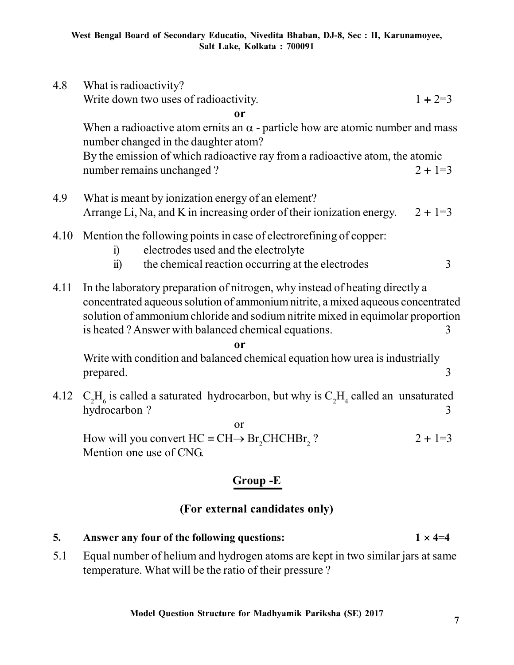| 4.8      | What is radioactivity?                                                                                                                                                                                                                                                                                   |             |  |  |
|----------|----------------------------------------------------------------------------------------------------------------------------------------------------------------------------------------------------------------------------------------------------------------------------------------------------------|-------------|--|--|
|          | Write down two uses of radioactivity.                                                                                                                                                                                                                                                                    | $1 + 2 = 3$ |  |  |
|          | 0r                                                                                                                                                                                                                                                                                                       |             |  |  |
|          | When a radioactive atom ernits an $\alpha$ - particle how are atomic number and mass<br>number changed in the daughter atom?                                                                                                                                                                             |             |  |  |
|          | By the emission of which radioactive ray from a radioactive atom, the atomic<br>number remains unchanged?                                                                                                                                                                                                | $2 + 1 = 3$ |  |  |
| 4.9      | What is meant by ionization energy of an element?                                                                                                                                                                                                                                                        |             |  |  |
|          | Arrange Li, Na, and K in increasing order of their ionization energy.                                                                                                                                                                                                                                    | $2 + 1 = 3$ |  |  |
| 4.10     | Mention the following points in case of electrorefining of copper:<br>electrodes used and the electrolyte<br>$\ddot{1}$                                                                                                                                                                                  |             |  |  |
|          | $\ddot{\mathbf{n}}$<br>the chemical reaction occurring at the electrodes                                                                                                                                                                                                                                 | 3           |  |  |
| 4.11     | In the laboratory preparation of nitrogen, why instead of heating directly a<br>concentrated aqueous solution of ammonium nitrite, a mixed aqueous concentrated<br>solution of ammonium chloride and sodium nitrite mixed in equimolar proportion<br>is heated? Answer with balanced chemical equations. | 3           |  |  |
| or       |                                                                                                                                                                                                                                                                                                          |             |  |  |
|          | Write with condition and balanced chemical equation how urea is industrially<br>prepared.                                                                                                                                                                                                                | 3           |  |  |
| 4.12     | $C_2H_6$ is called a saturated hydrocarbon, but why is $C_2H_4$ called an unsaturated<br>hydrocarbon?                                                                                                                                                                                                    | 3           |  |  |
|          | <sub>or</sub><br>How will you convert $HC = CH \rightarrow Br$ , CHCHBr, ?<br>Mention one use of CNG.                                                                                                                                                                                                    | $2 + 1 = 3$ |  |  |
| Group -E |                                                                                                                                                                                                                                                                                                          |             |  |  |

## **(For external candidates only)**

- **5.** Answer any four of the following questions:  $1 \times 4=4$
- 5.1 Equal number of helium and hydrogen atoms are kept in two similar jars at same temperature. What will be the ratio of their pressure ?